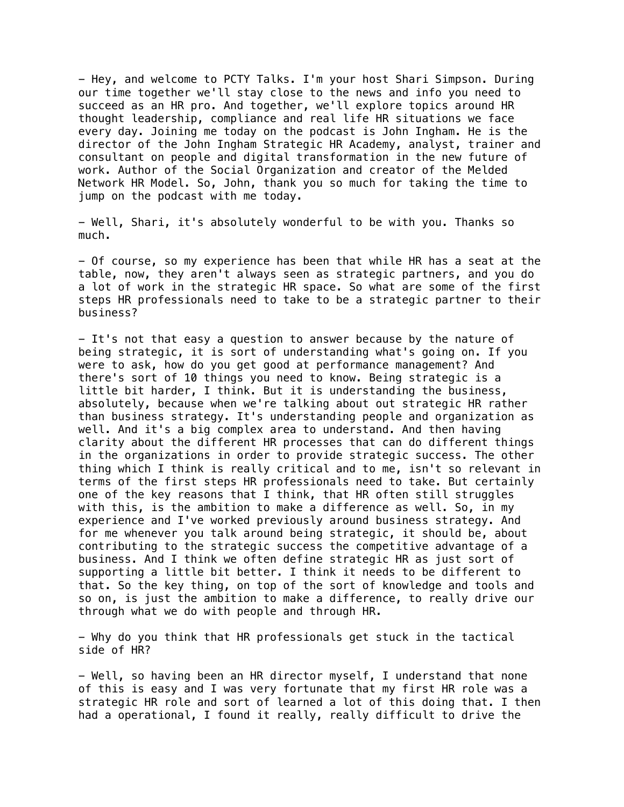- Hey, and welcome to PCTY Talks. I'm your host Shari Simpson. During our time together we'll stay close to the news and info you need to succeed as an HR pro. And together, we'll explore topics around HR thought leadership, compliance and real life HR situations we face every day. Joining me today on the podcast is John Ingham. He is the director of the John Ingham Strategic HR Academy, analyst, trainer and consultant on people and digital transformation in the new future of work. Author of the Social Organization and creator of the Melded Network HR Model. So, John, thank you so much for taking the time to jump on the podcast with me today.

- Well, Shari, it's absolutely wonderful to be with you. Thanks so much.

- Of course, so my experience has been that while HR has a seat at the table, now, they aren't always seen as strategic partners, and you do a lot of work in the strategic HR space. So what are some of the first steps HR professionals need to take to be a strategic partner to their business?

- It's not that easy a question to answer because by the nature of being strategic, it is sort of understanding what's going on. If you were to ask, how do you get good at performance management? And there's sort of 10 things you need to know. Being strategic is a little bit harder, I think. But it is understanding the business, absolutely, because when we're talking about out strategic HR rather than business strategy. It's understanding people and organization as well. And it's a big complex area to understand. And then having clarity about the different HR processes that can do different things in the organizations in order to provide strategic success. The other thing which I think is really critical and to me, isn't so relevant in terms of the first steps HR professionals need to take. But certainly one of the key reasons that I think, that HR often still struggles with this, is the ambition to make a difference as well. So, in my experience and I've worked previously around business strategy. And for me whenever you talk around being strategic, it should be, about contributing to the strategic success the competitive advantage of a business. And I think we often define strategic HR as just sort of supporting a little bit better. I think it needs to be different to that. So the key thing, on top of the sort of knowledge and tools and so on, is just the ambition to make a difference, to really drive our through what we do with people and through HR.

- Why do you think that HR professionals get stuck in the tactical side of HR?

- Well, so having been an HR director myself, I understand that none of this is easy and I was very fortunate that my first HR role was a strategic HR role and sort of learned a lot of this doing that. I then had a operational, I found it really, really difficult to drive the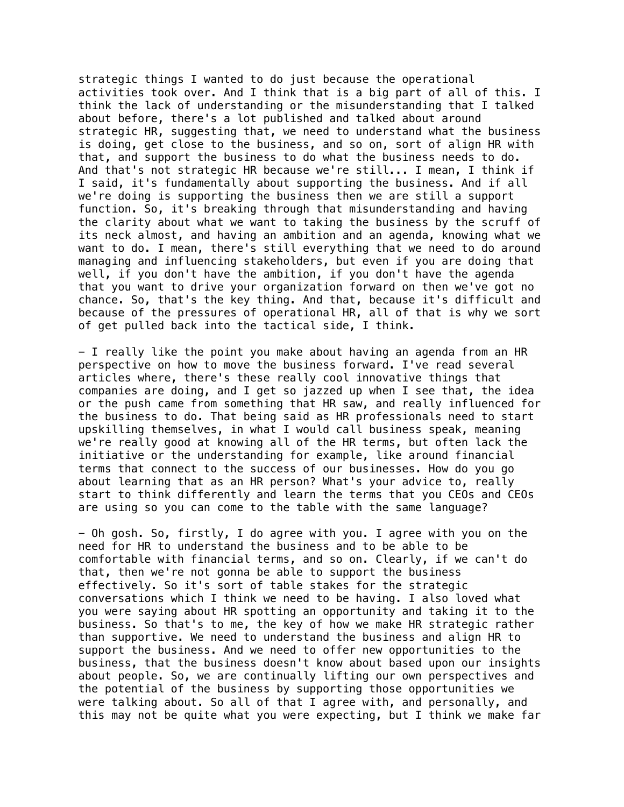strategic things I wanted to do just because the operational activities took over. And I think that is a big part of all of this. I think the lack of understanding or the misunderstanding that I talked about before, there's a lot published and talked about around strategic HR, suggesting that, we need to understand what the business is doing, get close to the business, and so on, sort of align HR with that, and support the business to do what the business needs to do. And that's not strategic HR because we're still... I mean, I think if I said, it's fundamentally about supporting the business. And if all we're doing is supporting the business then we are still a support function. So, it's breaking through that misunderstanding and having the clarity about what we want to taking the business by the scruff of its neck almost, and having an ambition and an agenda, knowing what we want to do. I mean, there's still everything that we need to do around managing and influencing stakeholders, but even if you are doing that well, if you don't have the ambition, if you don't have the agenda that you want to drive your organization forward on then we've got no chance. So, that's the key thing. And that, because it's difficult and because of the pressures of operational HR, all of that is why we sort of get pulled back into the tactical side, I think.

- I really like the point you make about having an agenda from an HR perspective on how to move the business forward. I've read several articles where, there's these really cool innovative things that companies are doing, and I get so jazzed up when I see that, the idea or the push came from something that HR saw, and really influenced for the business to do. That being said as HR professionals need to start upskilling themselves, in what I would call business speak, meaning we're really good at knowing all of the HR terms, but often lack the initiative or the understanding for example, like around financial terms that connect to the success of our businesses. How do you go about learning that as an HR person? What's your advice to, really start to think differently and learn the terms that you CEOs and CEOs are using so you can come to the table with the same language?

- Oh gosh. So, firstly, I do agree with you. I agree with you on the need for HR to understand the business and to be able to be comfortable with financial terms, and so on. Clearly, if we can't do that, then we're not gonna be able to support the business effectively. So it's sort of table stakes for the strategic conversations which I think we need to be having. I also loved what you were saying about HR spotting an opportunity and taking it to the business. So that's to me, the key of how we make HR strategic rather than supportive. We need to understand the business and align HR to support the business. And we need to offer new opportunities to the business, that the business doesn't know about based upon our insights about people. So, we are continually lifting our own perspectives and the potential of the business by supporting those opportunities we were talking about. So all of that I agree with, and personally, and this may not be quite what you were expecting, but I think we make far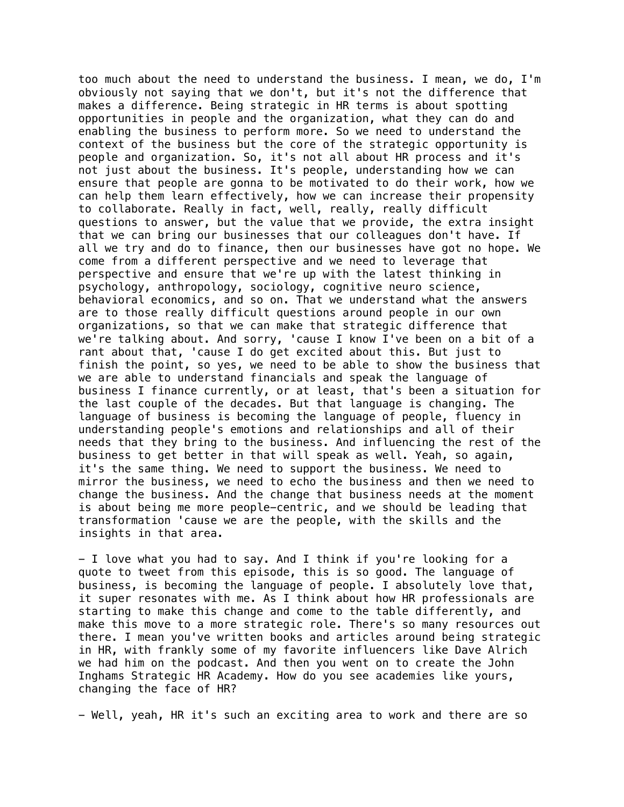too much about the need to understand the business. I mean, we do, I'm obviously not saying that we don't, but it's not the difference that makes a difference. Being strategic in HR terms is about spotting opportunities in people and the organization, what they can do and enabling the business to perform more. So we need to understand the context of the business but the core of the strategic opportunity is people and organization. So, it's not all about HR process and it's not just about the business. It's people, understanding how we can ensure that people are gonna to be motivated to do their work, how we can help them learn effectively, how we can increase their propensity to collaborate. Really in fact, well, really, really difficult questions to answer, but the value that we provide, the extra insight that we can bring our businesses that our colleagues don't have. If all we try and do to finance, then our businesses have got no hope. We come from a different perspective and we need to leverage that perspective and ensure that we're up with the latest thinking in psychology, anthropology, sociology, cognitive neuro science, behavioral economics, and so on. That we understand what the answers are to those really difficult questions around people in our own organizations, so that we can make that strategic difference that we're talking about. And sorry, 'cause I know I've been on a bit of a rant about that, 'cause I do get excited about this. But just to finish the point, so yes, we need to be able to show the business that we are able to understand financials and speak the language of business I finance currently, or at least, that's been a situation for the last couple of the decades. But that language is changing. The language of business is becoming the language of people, fluency in understanding people's emotions and relationships and all of their needs that they bring to the business. And influencing the rest of the business to get better in that will speak as well. Yeah, so again, it's the same thing. We need to support the business. We need to mirror the business, we need to echo the business and then we need to change the business. And the change that business needs at the moment is about being me more people-centric, and we should be leading that transformation 'cause we are the people, with the skills and the insights in that area.

- I love what you had to say. And I think if you're looking for a quote to tweet from this episode, this is so good. The language of business, is becoming the language of people. I absolutely love that, it super resonates with me. As I think about how HR professionals are starting to make this change and come to the table differently, and make this move to a more strategic role. There's so many resources out there. I mean you've written books and articles around being strategic in HR, with frankly some of my favorite influencers like Dave Alrich we had him on the podcast. And then you went on to create the John Inghams Strategic HR Academy. How do you see academies like yours, changing the face of HR?

- Well, yeah, HR it's such an exciting area to work and there are so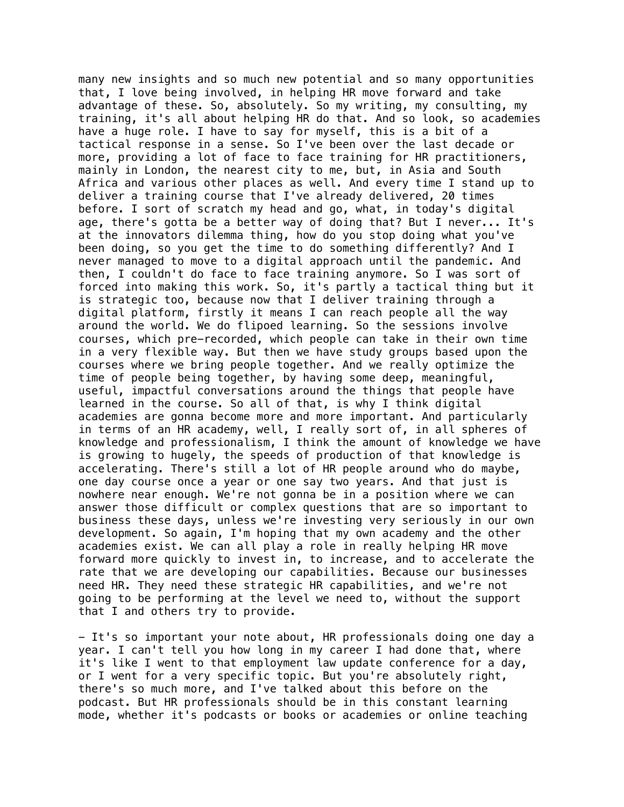many new insights and so much new potential and so many opportunities that, I love being involved, in helping HR move forward and take advantage of these. So, absolutely. So my writing, my consulting, my training, it's all about helping HR do that. And so look, so academies have a huge role. I have to say for myself, this is a bit of a tactical response in a sense. So I've been over the last decade or more, providing a lot of face to face training for HR practitioners, mainly in London, the nearest city to me, but, in Asia and South Africa and various other places as well. And every time I stand up to deliver a training course that I've already delivered, 20 times before. I sort of scratch my head and go, what, in today's digital age, there's gotta be a better way of doing that? But I never... It's at the innovators dilemma thing, how do you stop doing what you've been doing, so you get the time to do something differently? And I never managed to move to a digital approach until the pandemic. And then, I couldn't do face to face training anymore. So I was sort of forced into making this work. So, it's partly a tactical thing but it is strategic too, because now that I deliver training through a digital platform, firstly it means I can reach people all the way around the world. We do flipoed learning. So the sessions involve courses, which pre-recorded, which people can take in their own time in a very flexible way. But then we have study groups based upon the courses where we bring people together. And we really optimize the time of people being together, by having some deep, meaningful, useful, impactful conversations around the things that people have learned in the course. So all of that, is why I think digital academies are gonna become more and more important. And particularly in terms of an HR academy, well, I really sort of, in all spheres of knowledge and professionalism, I think the amount of knowledge we have is growing to hugely, the speeds of production of that knowledge is accelerating. There's still a lot of HR people around who do maybe, one day course once a year or one say two years. And that just is nowhere near enough. We're not gonna be in a position where we can answer those difficult or complex questions that are so important to business these days, unless we're investing very seriously in our own development. So again, I'm hoping that my own academy and the other academies exist. We can all play a role in really helping HR move forward more quickly to invest in, to increase, and to accelerate the rate that we are developing our capabilities. Because our businesses need HR. They need these strategic HR capabilities, and we're not going to be performing at the level we need to, without the support that I and others try to provide.

- It's so important your note about, HR professionals doing one day a year. I can't tell you how long in my career I had done that, where it's like I went to that employment law update conference for a day, or I went for a very specific topic. But you're absolutely right, there's so much more, and I've talked about this before on the podcast. But HR professionals should be in this constant learning mode, whether it's podcasts or books or academies or online teaching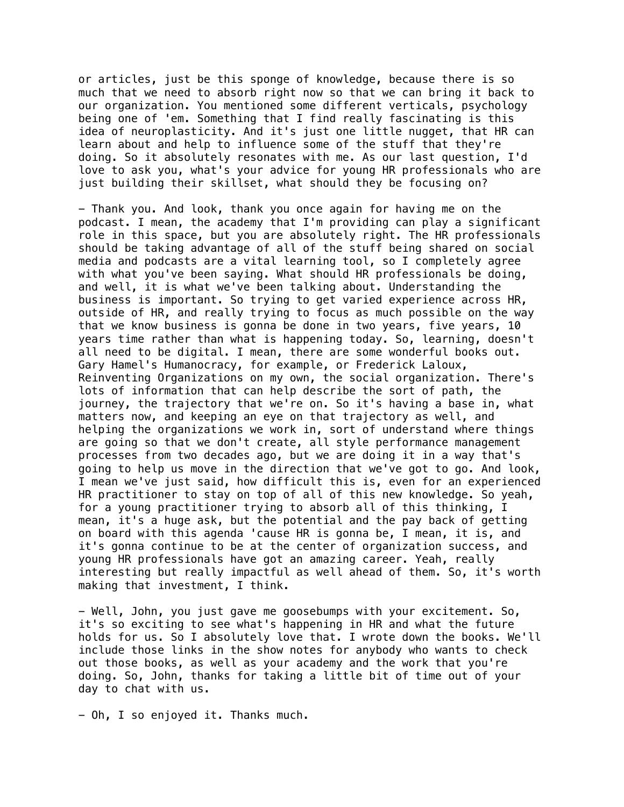or articles, just be this sponge of knowledge, because there is so much that we need to absorb right now so that we can bring it back to our organization. You mentioned some different verticals, psychology being one of 'em. Something that I find really fascinating is this idea of neuroplasticity. And it's just one little nugget, that HR can learn about and help to influence some of the stuff that they're doing. So it absolutely resonates with me. As our last question, I'd love to ask you, what's your advice for young HR professionals who are just building their skillset, what should they be focusing on?

- Thank you. And look, thank you once again for having me on the podcast. I mean, the academy that I'm providing can play a significant role in this space, but you are absolutely right. The HR professionals should be taking advantage of all of the stuff being shared on social media and podcasts are a vital learning tool, so I completely agree with what you've been saying. What should HR professionals be doing, and well, it is what we've been talking about. Understanding the business is important. So trying to get varied experience across HR, outside of HR, and really trying to focus as much possible on the way that we know business is gonna be done in two years, five years, 10 years time rather than what is happening today. So, learning, doesn't all need to be digital. I mean, there are some wonderful books out. Gary Hamel's Humanocracy, for example, or Frederick Laloux, Reinventing Organizations on my own, the social organization. There's lots of information that can help describe the sort of path, the journey, the trajectory that we're on. So it's having a base in, what matters now, and keeping an eye on that trajectory as well, and helping the organizations we work in, sort of understand where things are going so that we don't create, all style performance management processes from two decades ago, but we are doing it in a way that's going to help us move in the direction that we've got to go. And look, I mean we've just said, how difficult this is, even for an experienced HR practitioner to stay on top of all of this new knowledge. So yeah, for a young practitioner trying to absorb all of this thinking, I mean, it's a huge ask, but the potential and the pay back of getting on board with this agenda 'cause HR is gonna be, I mean, it is, and it's gonna continue to be at the center of organization success, and young HR professionals have got an amazing career. Yeah, really interesting but really impactful as well ahead of them. So, it's worth making that investment, I think.

- Well, John, you just gave me goosebumps with your excitement. So, it's so exciting to see what's happening in HR and what the future holds for us. So I absolutely love that. I wrote down the books. We'll include those links in the show notes for anybody who wants to check out those books, as well as your academy and the work that you're doing. So, John, thanks for taking a little bit of time out of your day to chat with us.

- Oh, I so enjoyed it. Thanks much.